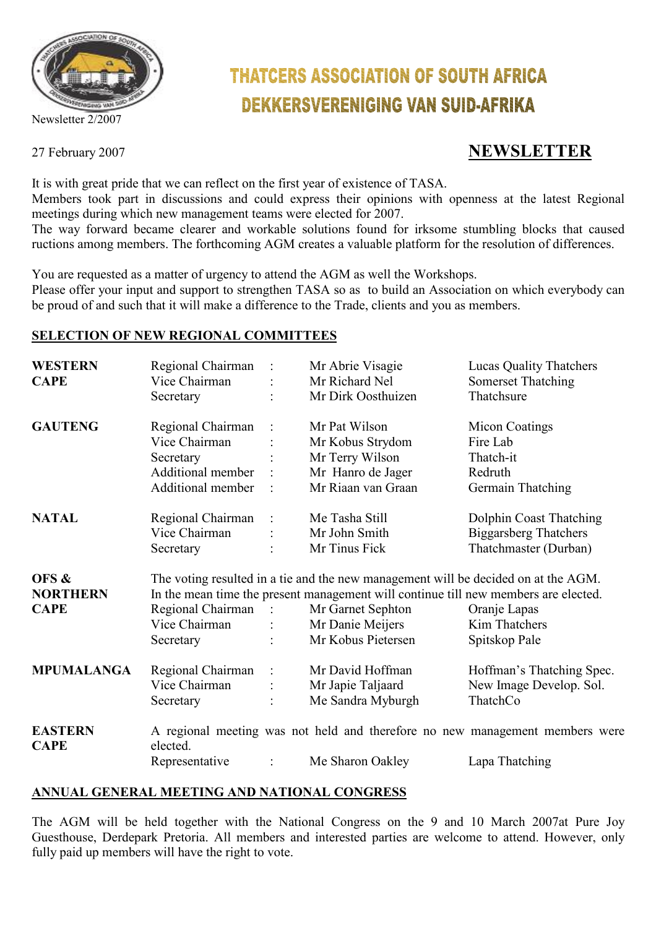

Newsletter 2/2007

# **THATCERS ASSOCIATION OF SOUTH AFRICA DEKKERSVERENIGING VAN SUID-AFRIKA**

# 27 February 2007 **NEWSLETTER**

It is with great pride that we can reflect on the first year of existence of TASA.

Members took part in discussions and could express their opinions with openness at the latest Regional meetings during which new management teams were elected for 2007.

The way forward became clearer and workable solutions found for irksome stumbling blocks that caused ructions among members. The forthcoming AGM creates a valuable platform for the resolution of differences.

You are requested as a matter of urgency to attend the AGM as well the Workshops.

Please offer your input and support to strengthen TASA so as to build an Association on which everybody can be proud of and such that it will make a difference to the Trade, clients and you as members.

#### **SELECTION OF NEW REGIONAL COMMITTEES**

| <b>WESTERN</b>                | Regional Chairman                                                                                                                                                         |                     | Mr Abrie Visagie   | <b>Lucas Quality Thatchers</b>                                               |
|-------------------------------|---------------------------------------------------------------------------------------------------------------------------------------------------------------------------|---------------------|--------------------|------------------------------------------------------------------------------|
| <b>CAPE</b>                   | Vice Chairman                                                                                                                                                             |                     | Mr Richard Nel     | <b>Somerset Thatching</b>                                                    |
|                               | Secretary                                                                                                                                                                 |                     | Mr Dirk Oosthuizen | Thatchsure                                                                   |
| <b>GAUTENG</b>                | Regional Chairman                                                                                                                                                         |                     | Mr Pat Wilson      | <b>Micon Coatings</b>                                                        |
|                               | Vice Chairman                                                                                                                                                             |                     | Mr Kobus Strydom   | Fire Lab                                                                     |
|                               | Secretary                                                                                                                                                                 |                     | Mr Terry Wilson    | Thatch-it                                                                    |
|                               | Additional member                                                                                                                                                         |                     | Mr Hanro de Jager  | Redruth                                                                      |
|                               | Additional member                                                                                                                                                         |                     | Mr Riaan van Graan | Germain Thatching                                                            |
| <b>NATAL</b>                  | Regional Chairman                                                                                                                                                         |                     | Me Tasha Still     | Dolphin Coast Thatching                                                      |
|                               | Vice Chairman                                                                                                                                                             |                     | Mr John Smith      | <b>Biggarsberg Thatchers</b>                                                 |
|                               | Secretary                                                                                                                                                                 |                     | Mr Tinus Fick      | Thatchmaster (Durban)                                                        |
| OFS &<br><b>NORTHERN</b>      | The voting resulted in a tie and the new management will be decided on at the AGM.<br>In the mean time the present management will continue till new members are elected. |                     |                    |                                                                              |
| <b>CAPE</b>                   | Regional Chairman:                                                                                                                                                        |                     | Mr Garnet Sephton  | Oranje Lapas                                                                 |
|                               | Vice Chairman                                                                                                                                                             | $\ddot{\cdot}$      | Mr Danie Meijers   | Kim Thatchers                                                                |
|                               | Secretary                                                                                                                                                                 |                     | Mr Kobus Pietersen | Spitskop Pale                                                                |
| <b>MPUMALANGA</b>             | Regional Chairman                                                                                                                                                         | $\hat{\phantom{a}}$ | Mr David Hoffman   | Hoffman's Thatching Spec.                                                    |
|                               | Vice Chairman                                                                                                                                                             |                     | Mr Japie Taljaard  | New Image Develop. Sol.                                                      |
|                               | Secretary                                                                                                                                                                 |                     | Me Sandra Myburgh  | ThatchCo                                                                     |
| <b>EASTERN</b><br><b>CAPE</b> | elected.                                                                                                                                                                  |                     |                    | A regional meeting was not held and therefore no new management members were |
|                               | Representative                                                                                                                                                            |                     | Me Sharon Oakley   | Lapa Thatching                                                               |

#### **ANNUAL GENERAL MEETING AND NATIONAL CONGRESS**

The AGM will be held together with the National Congress on the 9 and 10 March 2007at Pure Joy Guesthouse, Derdepark Pretoria. All members and interested parties are welcome to attend. However, only fully paid up members will have the right to vote.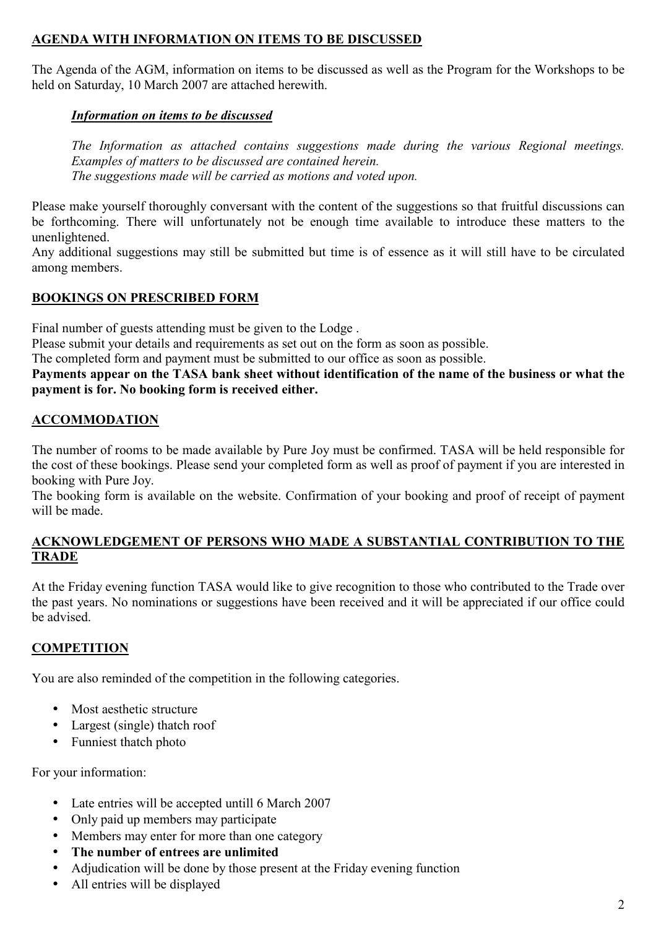#### **AGENDA WITH INFORMATION ON ITEMS TO BE DISCUSSED**

The Agenda of the AGM, information on items to be discussed as well as the Program for the Workshops to be held on Saturday, 10 March 2007 are attached herewith.

#### *Information on items to be discussed*

*The Information as attached contains suggestions made during the various Regional meetings. Examples of matters to be discussed are contained herein. The suggestions made will be carried as motions and voted upon.* 

Please make yourself thoroughly conversant with the content of the suggestions so that fruitful discussions can be forthcoming. There will unfortunately not be enough time available to introduce these matters to the unenlightened.

Any additional suggestions may still be submitted but time is of essence as it will still have to be circulated among members.

#### **BOOKINGS ON PRESCRIBED FORM**

Final number of guests attending must be given to the Lodge .

Please submit your details and requirements as set out on the form as soon as possible.

The completed form and payment must be submitted to our office as soon as possible.

**Payments appear on the TASA bank sheet without identification of the name of the business or what the payment is for. No booking form is received either.** 

## **ACCOMMODATION**

The number of rooms to be made available by Pure Joy must be confirmed. TASA will be held responsible for the cost of these bookings. Please send your completed form as well as proof of payment if you are interested in booking with Pure Joy.

The booking form is available on the website. Confirmation of your booking and proof of receipt of payment will be made.

#### **ACKNOWLEDGEMENT OF PERSONS WHO MADE A SUBSTANTIAL CONTRIBUTION TO THE TRADE**

At the Friday evening function TASA would like to give recognition to those who contributed to the Trade over the past years. No nominations or suggestions have been received and it will be appreciated if our office could be advised.

## **COMPETITION**

You are also reminded of the competition in the following categories.

- Most aesthetic structure
- Largest (single) thatch roof
- Funniest thatch photo

For your information:

- Late entries will be accepted untill 6 March 2007
- Only paid up members may participate
- Members may enter for more than one category
- **The number of entrees are unlimited**
- Adjudication will be done by those present at the Friday evening function
- All entries will be displayed